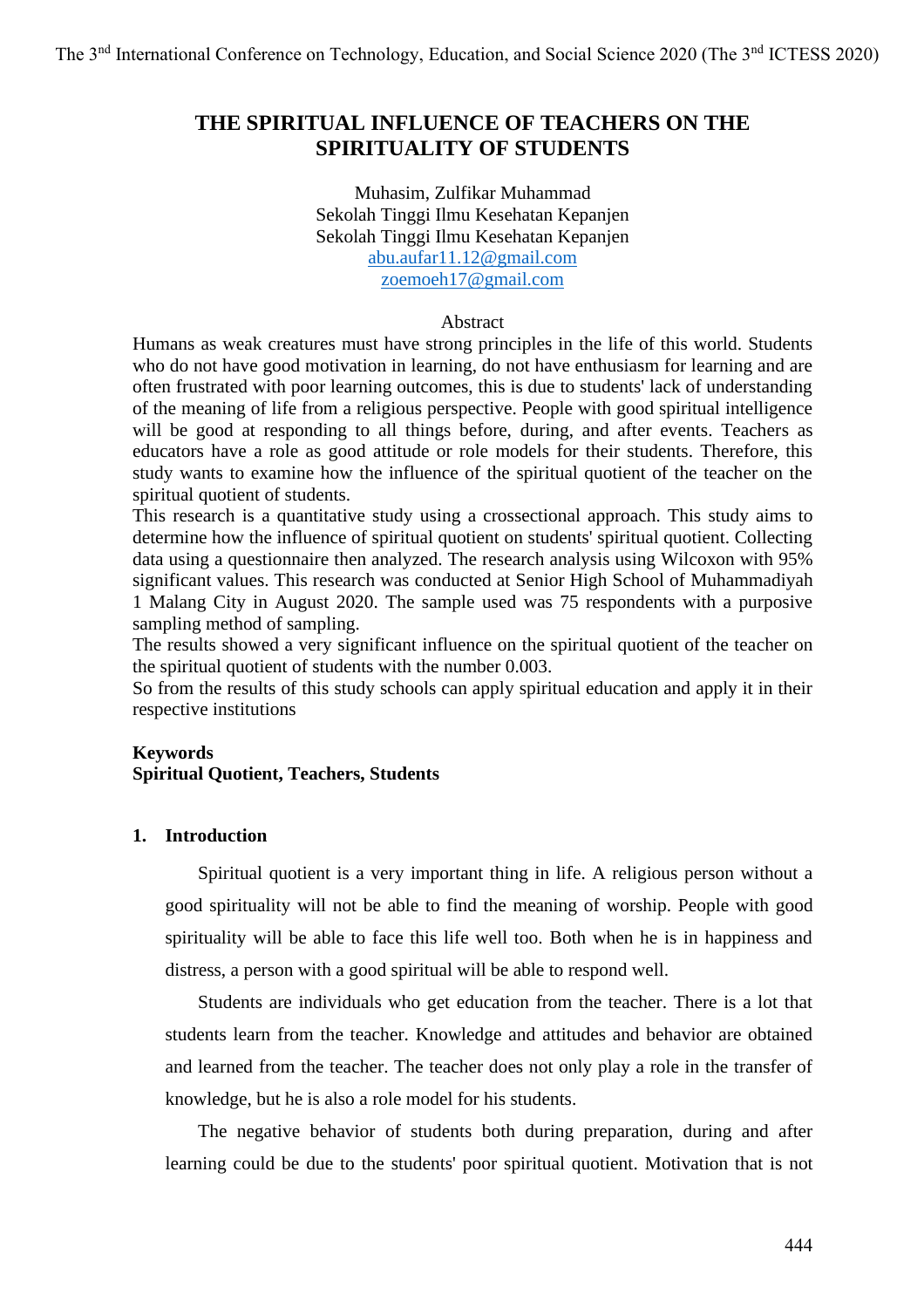# **THE SPIRITUAL INFLUENCE OF TEACHERS ON THE SPIRITUALITY OF STUDENTS**

Muhasim, Zulfikar Muhammad Sekolah Tinggi Ilmu Kesehatan Kepanjen Sekolah Tinggi Ilmu Kesehatan Kepanjen [abu.aufar11.12@gmail.com](mailto:abu.aufar11.12@gmail.com) [zoemoeh17@gmail.com](mailto:zoemoeh17@gmail.com)

## Abstract

Humans as weak creatures must have strong principles in the life of this world. Students who do not have good motivation in learning, do not have enthusiasm for learning and are often frustrated with poor learning outcomes, this is due to students' lack of understanding of the meaning of life from a religious perspective. People with good spiritual intelligence will be good at responding to all things before, during, and after events. Teachers as educators have a role as good attitude or role models for their students. Therefore, this study wants to examine how the influence of the spiritual quotient of the teacher on the spiritual quotient of students.

This research is a quantitative study using a crossectional approach. This study aims to determine how the influence of spiritual quotient on students' spiritual quotient. Collecting data using a questionnaire then analyzed. The research analysis using Wilcoxon with 95% significant values. This research was conducted at Senior High School of Muhammadiyah 1 Malang City in August 2020. The sample used was 75 respondents with a purposive sampling method of sampling.

The results showed a very significant influence on the spiritual quotient of the teacher on the spiritual quotient of students with the number 0.003.

So from the results of this study schools can apply spiritual education and apply it in their respective institutions

## **Keywords**

# **Spiritual Quotient, Teachers, Students**

## **1. Introduction**

Spiritual quotient is a very important thing in life. A religious person without a good spirituality will not be able to find the meaning of worship. People with good spirituality will be able to face this life well too. Both when he is in happiness and distress, a person with a good spiritual will be able to respond well.

Students are individuals who get education from the teacher. There is a lot that students learn from the teacher. Knowledge and attitudes and behavior are obtained and learned from the teacher. The teacher does not only play a role in the transfer of knowledge, but he is also a role model for his students.

The negative behavior of students both during preparation, during and after learning could be due to the students' poor spiritual quotient. Motivation that is not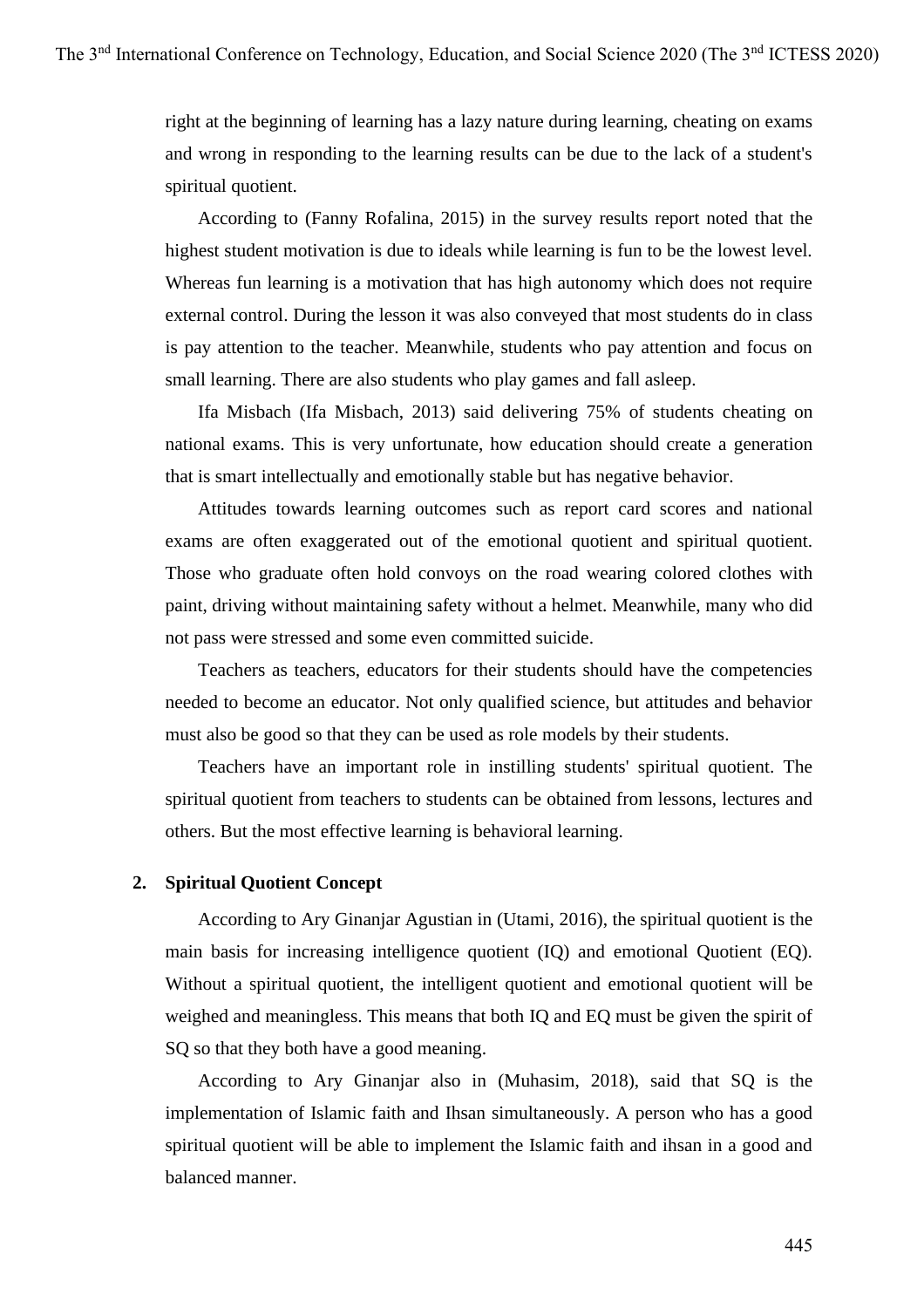right at the beginning of learning has a lazy nature during learning, cheating on exams and wrong in responding to the learning results can be due to the lack of a student's spiritual quotient.

According to (Fanny Rofalina, 2015) in the survey results report noted that the highest student motivation is due to ideals while learning is fun to be the lowest level. Whereas fun learning is a motivation that has high autonomy which does not require external control. During the lesson it was also conveyed that most students do in class is pay attention to the teacher. Meanwhile, students who pay attention and focus on small learning. There are also students who play games and fall asleep.

Ifa Misbach (Ifa Misbach, 2013) said delivering 75% of students cheating on national exams. This is very unfortunate, how education should create a generation that is smart intellectually and emotionally stable but has negative behavior.

Attitudes towards learning outcomes such as report card scores and national exams are often exaggerated out of the emotional quotient and spiritual quotient. Those who graduate often hold convoys on the road wearing colored clothes with paint, driving without maintaining safety without a helmet. Meanwhile, many who did not pass were stressed and some even committed suicide.

Teachers as teachers, educators for their students should have the competencies needed to become an educator. Not only qualified science, but attitudes and behavior must also be good so that they can be used as role models by their students.

Teachers have an important role in instilling students' spiritual quotient. The spiritual quotient from teachers to students can be obtained from lessons, lectures and others. But the most effective learning is behavioral learning.

# **2. Spiritual Quotient Concept**

According to Ary Ginanjar Agustian in (Utami, 2016), the spiritual quotient is the main basis for increasing intelligence quotient (IQ) and emotional Quotient (EQ). Without a spiritual quotient, the intelligent quotient and emotional quotient will be weighed and meaningless. This means that both IQ and EQ must be given the spirit of SQ so that they both have a good meaning.

According to Ary Ginanjar also in (Muhasim, 2018), said that SQ is the implementation of Islamic faith and Ihsan simultaneously. A person who has a good spiritual quotient will be able to implement the Islamic faith and ihsan in a good and balanced manner.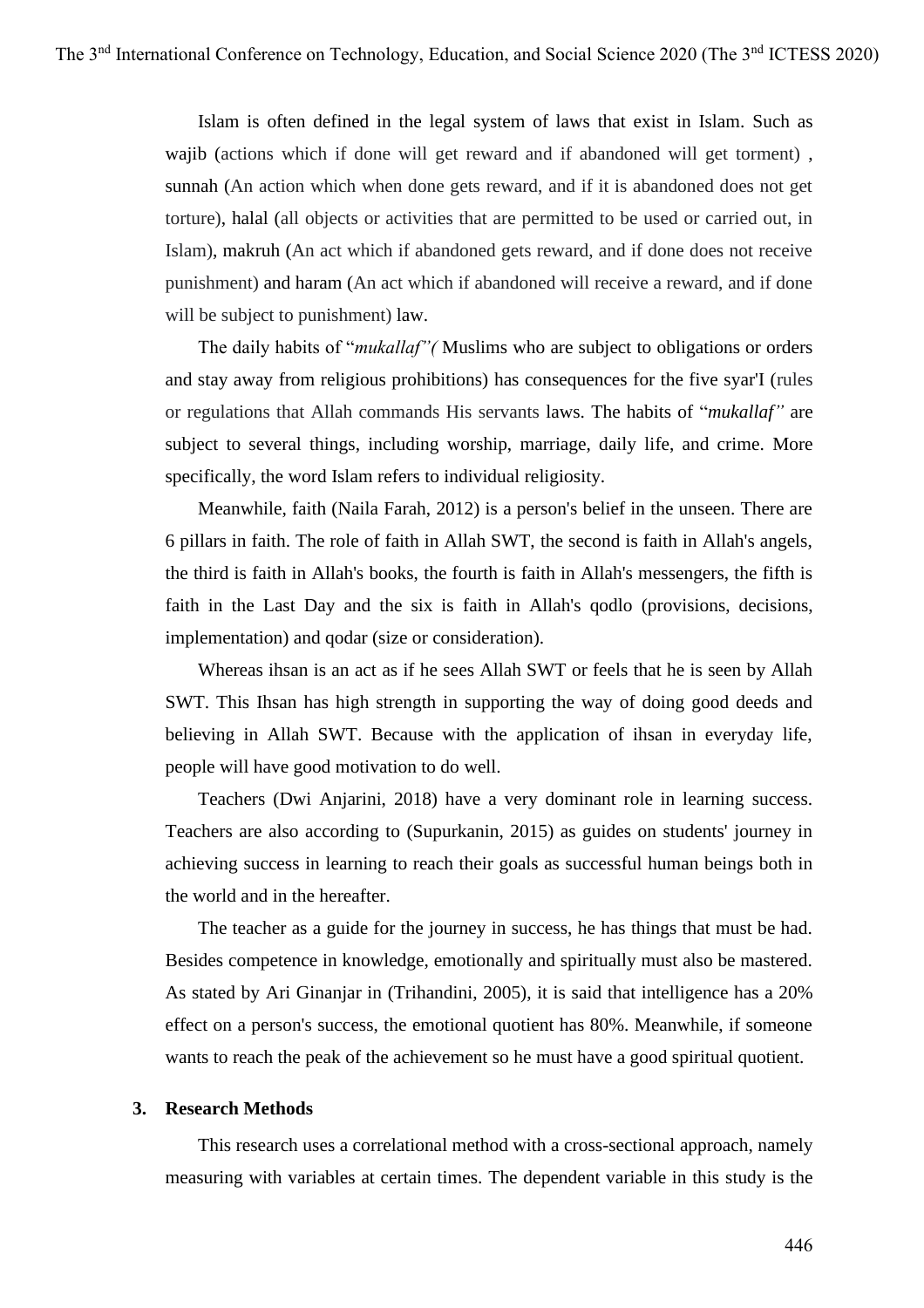Islam is often defined in the legal system of laws that exist in Islam. Such as wajib (actions which if done will get reward and if abandoned will get torment), sunnah (An action which when done gets reward, and if it is abandoned does not get torture), halal (all objects or activities that are permitted to be used or carried out, in Islam), makruh (An act which if abandoned gets reward, and if done does not receive punishment) and haram (An act which if abandoned will receive a reward, and if done will be subject to punishment) law.

The daily habits of "*mukallaf"(* Muslims who are subject to obligations or orders and stay away from religious prohibitions) has consequences for the five syar'I (rules or regulations that Allah commands His servants laws. The habits of "*mukallaf"* are subject to several things, including worship, marriage, daily life, and crime. More specifically, the word Islam refers to individual religiosity.

Meanwhile, faith (Naila Farah, 2012) is a person's belief in the unseen. There are 6 pillars in faith. The role of faith in Allah SWT, the second is faith in Allah's angels, the third is faith in Allah's books, the fourth is faith in Allah's messengers, the fifth is faith in the Last Day and the six is faith in Allah's qodlo (provisions, decisions, implementation) and qodar (size or consideration).

Whereas ihsan is an act as if he sees Allah SWT or feels that he is seen by Allah SWT. This Ihsan has high strength in supporting the way of doing good deeds and believing in Allah SWT. Because with the application of ihsan in everyday life, people will have good motivation to do well.

Teachers (Dwi Anjarini, 2018) have a very dominant role in learning success. Teachers are also according to (Supurkanin, 2015) as guides on students' journey in achieving success in learning to reach their goals as successful human beings both in the world and in the hereafter.

The teacher as a guide for the journey in success, he has things that must be had. Besides competence in knowledge, emotionally and spiritually must also be mastered. As stated by Ari Ginanjar in (Trihandini, 2005), it is said that intelligence has a 20% effect on a person's success, the emotional quotient has 80%. Meanwhile, if someone wants to reach the peak of the achievement so he must have a good spiritual quotient.

#### **3. Research Methods**

This research uses a correlational method with a cross-sectional approach, namely measuring with variables at certain times. The dependent variable in this study is the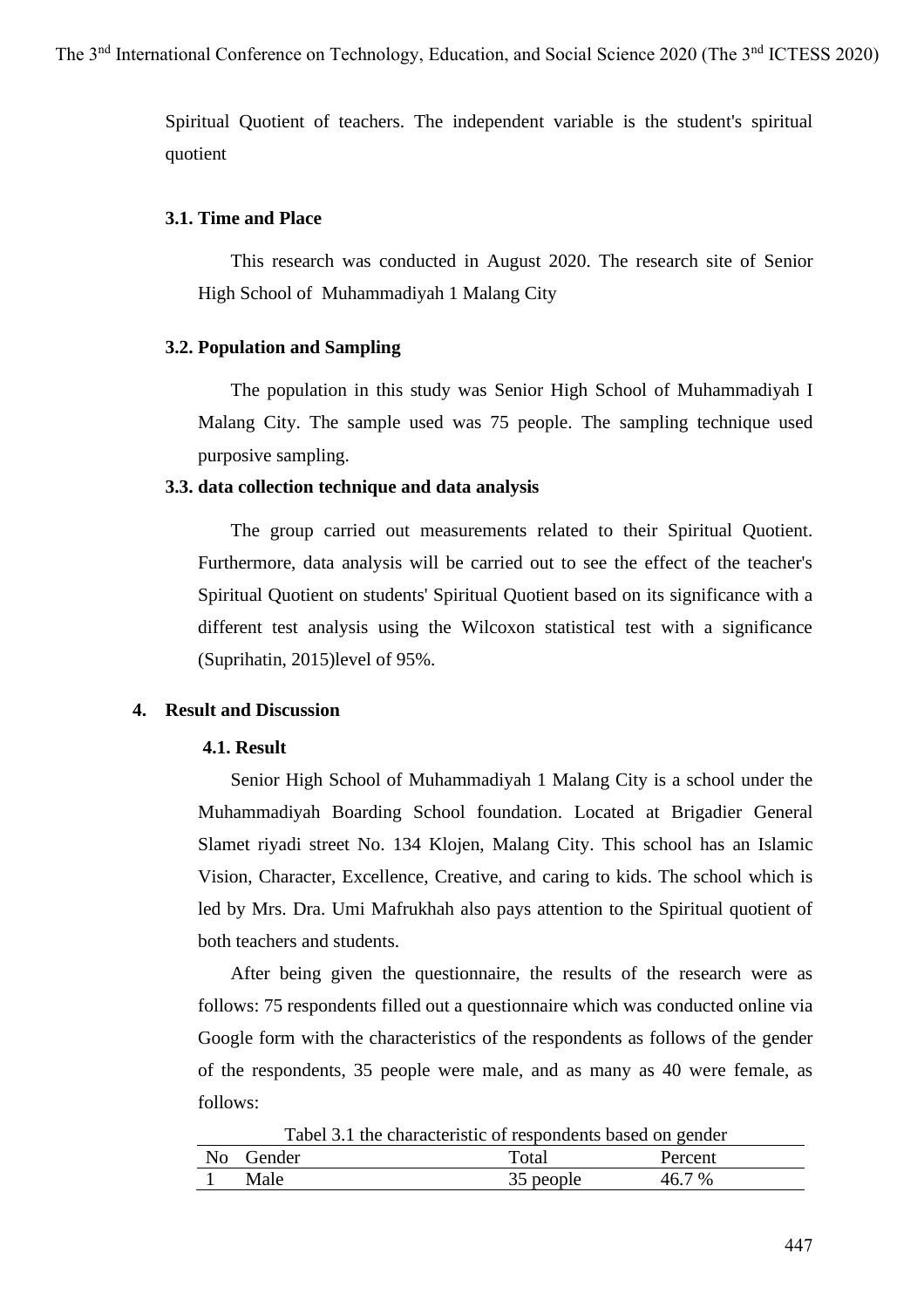Spiritual Quotient of teachers. The independent variable is the student's spiritual quotient

## **3.1. Time and Place**

This research was conducted in August 2020. The research site of Senior High School of Muhammadiyah 1 Malang City

## **3.2. Population and Sampling**

The population in this study was Senior High School of Muhammadiyah I Malang City. The sample used was 75 people. The sampling technique used purposive sampling.

#### **3.3. data collection technique and data analysis**

The group carried out measurements related to their Spiritual Quotient. Furthermore, data analysis will be carried out to see the effect of the teacher's Spiritual Quotient on students' Spiritual Quotient based on its significance with a different test analysis using the Wilcoxon statistical test with a significance (Suprihatin, 2015)level of 95%.

#### **4. Result and Discussion**

#### **4.1. Result**

Senior High School of Muhammadiyah 1 Malang City is a school under the Muhammadiyah Boarding School foundation. Located at Brigadier General Slamet riyadi street No. 134 Klojen, Malang City. This school has an Islamic Vision, Character, Excellence, Creative, and caring to kids. The school which is led by Mrs. Dra. Umi Mafrukhah also pays attention to the Spiritual quotient of both teachers and students.

After being given the questionnaire, the results of the research were as follows: 75 respondents filled out a questionnaire which was conducted online via Google form with the characteristics of the respondents as follows of the gender of the respondents, 35 people were male, and as many as 40 were female, as follows:

Tabel 3.1 the characteristic of respondents based on gender No Gender Total Percent 1 Male 35 people 46.7 %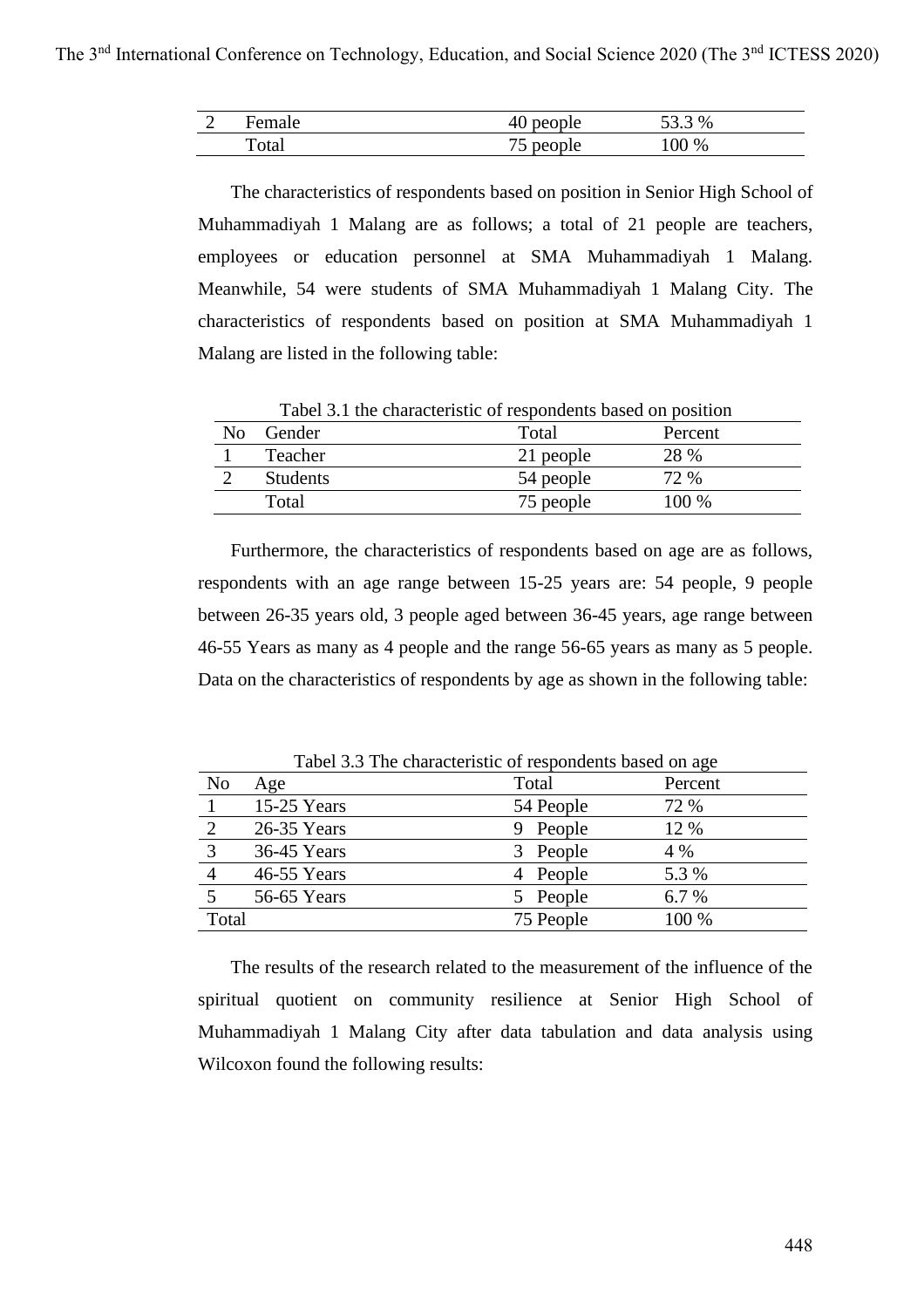| ⌒ | Female      | people<br>π∪ | $3\%$<br>53.3<br>JJ.J |
|---|-------------|--------------|-----------------------|
|   | T.<br>Total | people<br>ັ  | 100 %                 |

The characteristics of respondents based on position in Senior High School of Muhammadiyah 1 Malang are as follows; a total of 21 people are teachers, employees or education personnel at SMA Muhammadiyah 1 Malang. Meanwhile, 54 were students of SMA Muhammadiyah 1 Malang City. The characteristics of respondents based on position at SMA Muhammadiyah 1 Malang are listed in the following table:

|                | Tabel 3.1 the characteristic of respondents based on position |           |         |
|----------------|---------------------------------------------------------------|-----------|---------|
| N <sub>0</sub> | Gender                                                        | Total     | Percent |
|                | Teacher                                                       | 21 people | 28 %    |
|                | <b>Students</b>                                               | 54 people | 72 %    |
|                | Total                                                         | 75 people | $100\%$ |

Furthermore, the characteristics of respondents based on age are as follows, respondents with an age range between 15-25 years are: 54 people, 9 people between 26-35 years old, 3 people aged between 36-45 years, age range between 46-55 Years as many as 4 people and the range 56-65 years as many as 5 people. Data on the characteristics of respondents by age as shown in the following table:

| Tworr 3.3 The enargement of respondence eased on age |               |             |         |  |  |
|------------------------------------------------------|---------------|-------------|---------|--|--|
| N <sub>o</sub>                                       | Age           | Total       | Percent |  |  |
|                                                      | $15-25$ Years | 54 People   | 72 %    |  |  |
|                                                      | 26-35 Years   | People<br>9 | 12 %    |  |  |
| 3                                                    | 36-45 Years   | People      | 4 %     |  |  |
|                                                      | 46-55 Years   | People      | 5.3 %   |  |  |
|                                                      | 56-65 Years   | People      | 6.7 %   |  |  |
| Total                                                |               | 75 People   | 100 %   |  |  |

Tabel 3.3 The characteristic of respondents based on age

The results of the research related to the measurement of the influence of the spiritual quotient on community resilience at Senior High School of Muhammadiyah 1 Malang City after data tabulation and data analysis using Wilcoxon found the following results: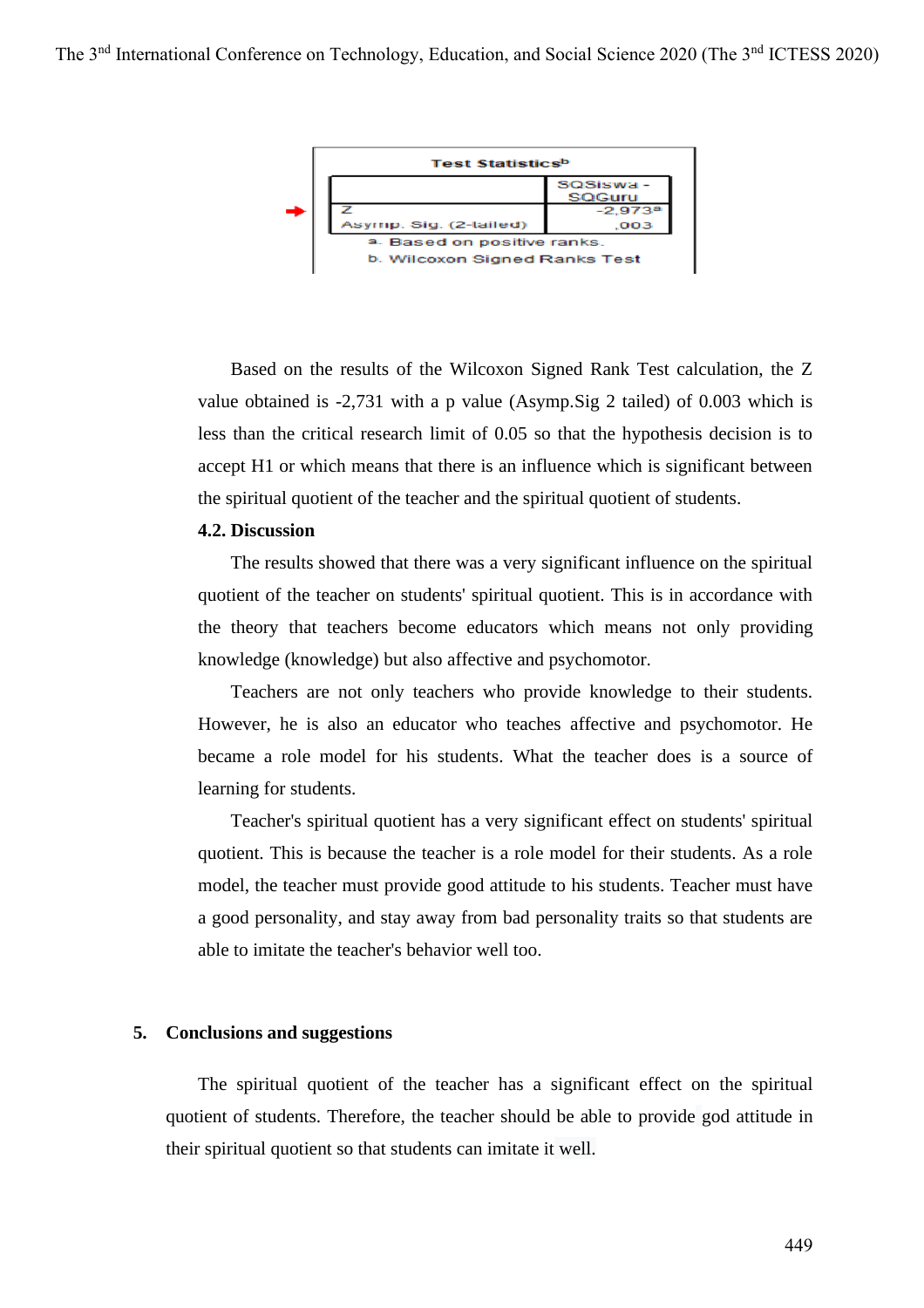

Based on the results of the Wilcoxon Signed Rank Test calculation, the Z value obtained is -2,731 with a p value (Asymp.Sig 2 tailed) of 0.003 which is less than the critical research limit of 0.05 so that the hypothesis decision is to accept H1 or which means that there is an influence which is significant between the spiritual quotient of the teacher and the spiritual quotient of students.

## **4.2. Discussion**

The results showed that there was a very significant influence on the spiritual quotient of the teacher on students' spiritual quotient. This is in accordance with the theory that teachers become educators which means not only providing knowledge (knowledge) but also affective and psychomotor.

Teachers are not only teachers who provide knowledge to their students. However, he is also an educator who teaches affective and psychomotor. He became a role model for his students. What the teacher does is a source of learning for students.

Teacher's spiritual quotient has a very significant effect on students' spiritual quotient. This is because the teacher is a role model for their students. As a role model, the teacher must provide good attitude to his students. Teacher must have a good personality, and stay away from bad personality traits so that students are able to imitate the teacher's behavior well too.

## **5. Conclusions and suggestions**

The spiritual quotient of the teacher has a significant effect on the spiritual quotient of students. Therefore, the teacher should be able to provide god attitude in their spiritual quotient so that students can imitate it well.